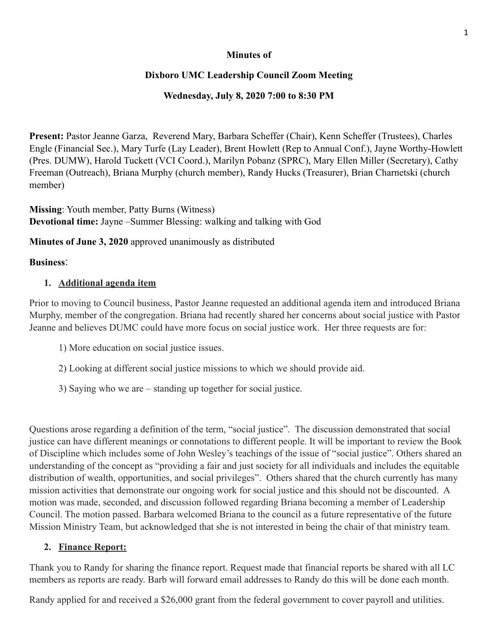#### **Minutes of**

### **Dixboro UMC Leadership Council Zoom Meeting**

### **Wednesday, July 8, 2020 7:00 to 8:30 PM**

**Present:** Pastor Jeanne Garza, Reverend Mary, Barbara Scheffer (Chair), Kenn Scheffer (Trustees), Charles Engle (Financial Sec.), Mary Turfe (Lay Leader), Brent Howlett (Rep to Annual Conf.), Jayne Worthy-Howlett (Pres. DUMW), Harold Tuckett (VCI Coord.), Marilyn Pobanz (SPRC), Mary Ellen Miller (Secretary), Cathy Freeman (Outreach), Briana Murphy (church member), Randy Hucks (Treasurer), Brian Charnetski (church member)

**Missing**: Youth member, Patty Burns (Witness) **Devotional time:** Jayne –Summer Blessing: walking and talking with God

**Minutes of June 3, 2020** approved unanimously as distributed

### **Business**:

# **1. Additional agenda item**

Prior to moving to Council business, Pastor Jeanne requested an additional agenda item and introduced Briana Murphy, member of the congregation. Briana had recently shared her concerns about social justice with Pastor Jeanne and believes DUMC could have more focus on social justice work. Her three requests are for:

- 1) More education on social justice issues.
- 2) Looking at different social justice missions to which we should provide aid.
- 3) Saying who we are standing up together for social justice.

Questions arose regarding a definition of the term, "social justice". The discussion demonstrated that social justice can have different meanings or connotations to different people. It will be important to review the Book of Discipline which includes some of John Wesley's teachings of the issue of "social justice". Others shared an understanding of the concept as "providing a fair and just society for all individuals and includes the equitable distribution of wealth, opportunities, and social privileges". Others shared that the church currently has many mission activities that demonstrate our ongoing work for social justice and this should not be discounted. A motion was made, seconded, and discussion followed regarding Briana becoming a member of Leadership Council. The motion passed. Barbara welcomed Briana to the council as a future representative of the future Mission Ministry Team, but acknowledged that she is not interested in being the chair of that ministry team.

# **2. Finance Report:**

Thank you to Randy for sharing the finance report. Request made that financial reports be shared with all LC members as reports are ready. Barb will forward email addresses to Randy do this will be done each month.

Randy applied for and received a \$26,000 grant from the federal government to cover payroll and utilities.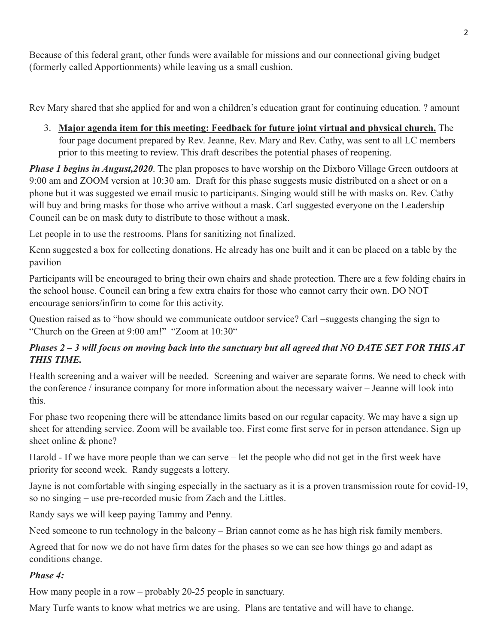Because of this federal grant, other funds were available for missions and our connectional giving budget (formerly called Apportionments) while leaving us a small cushion.

Rev Mary shared that she applied for and won a children's education grant for continuing education. ? amount

3. **Major agenda item for this meeting: Feedback for future joint virtual and physical church.** The four page document prepared by Rev. Jeanne, Rev. Mary and Rev. Cathy, was sent to all LC members prior to this meeting to review. This draft describes the potential phases of reopening.

*Phase 1 begins in August,2020*. The plan proposes to have worship on the Dixboro Village Green outdoors at 9:00 am and ZOOM version at 10:30 am. Draft for this phase suggests music distributed on a sheet or on a phone but it was suggested we email music to participants. Singing would still be with masks on. Rev. Cathy will buy and bring masks for those who arrive without a mask. Carl suggested everyone on the Leadership Council can be on mask duty to distribute to those without a mask.

Let people in to use the restrooms. Plans for sanitizing not finalized.

Kenn suggested a box for collecting donations. He already has one built and it can be placed on a table by the pavilion

Participants will be encouraged to bring their own chairs and shade protection. There are a few folding chairs in the school house. Council can bring a few extra chairs for those who cannot carry their own. DO NOT encourage seniors/infirm to come for this activity.

Question raised as to "how should we communicate outdoor service? Carl –suggests changing the sign to "Church on the Green at 9:00 am!" "Zoom at 10:30"

## *Phases 2 – 3 will focus on moving back into the sanctuary but all agreed that NO DATE SET FOR THIS AT THIS TIME.*

Health screening and a waiver will be needed. Screening and waiver are separate forms. We need to check with the conference / insurance company for more information about the necessary waiver – Jeanne will look into this.

For phase two reopening there will be attendance limits based on our regular capacity. We may have a sign up sheet for attending service. Zoom will be available too. First come first serve for in person attendance. Sign up sheet online & phone?

Harold - If we have more people than we can serve – let the people who did not get in the first week have priority for second week. Randy suggests a lottery.

Jayne is not comfortable with singing especially in the sactuary as it is a proven transmission route for covid-19, so no singing – use pre-recorded music from Zach and the Littles.

Randy says we will keep paying Tammy and Penny.

Need someone to run technology in the balcony – Brian cannot come as he has high risk family members.

Agreed that for now we do not have firm dates for the phases so we can see how things go and adapt as conditions change.

### *Phase 4:*

How many people in a row – probably 20-25 people in sanctuary.

Mary Turfe wants to know what metrics we are using. Plans are tentative and will have to change.